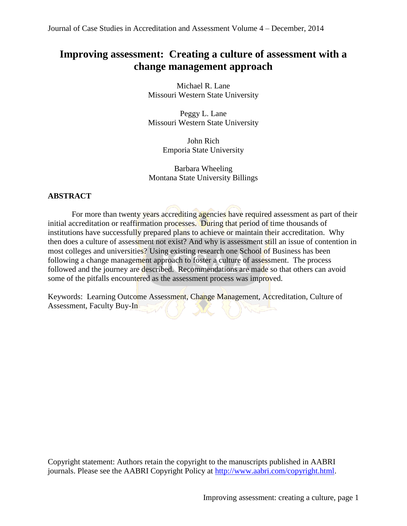# **Improving assessment: Creating a culture of assessment with a change management approach**

Michael R. Lane Missouri Western State University

Peggy L. Lane Missouri Western State University

> John Rich Emporia State University

Barbara Wheeling Montana State University Billings

# **ABSTRACT**

For more than twenty years accrediting agencies have required assessment as part of their initial accreditation or reaffirmation processes. During that period of time thousands of institutions have successfully prepared plans to achieve or maintain their accreditation. Why then does a culture of assessment not exist? And why is assessment still an issue of contention in most colleges and universities? Using existing research one School of Business has been following a change management approach to foster a culture of assessment. The process followed and the journey are described. Recommendations are made so that others can avoid some of the pitfalls encountered as the assessment process was improved.

Keywords:Learning Outcome Assessment, Change Management, Accreditation, Culture of Assessment, Faculty Buy-In

Copyright statement: Authors retain the copyright to the manuscripts published in AABRI journals. Please see the AABRI Copyright Policy at [http://www.aabri.com/copyright.html.](http://www.aabri.com/copyright.html)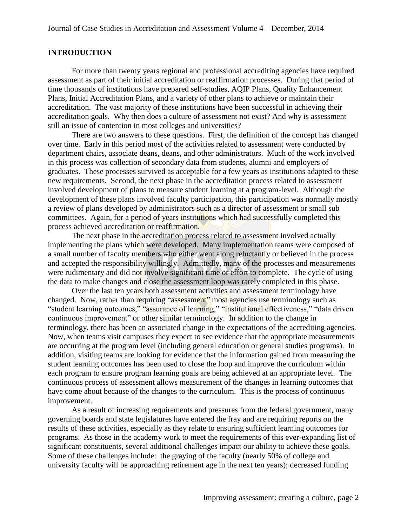## **INTRODUCTION**

For more than twenty years regional and professional accrediting agencies have required assessment as part of their initial accreditation or reaffirmation processes. During that period of time thousands of institutions have prepared self-studies, AQIP Plans, Quality Enhancement Plans, Initial Accreditation Plans, and a variety of other plans to achieve or maintain their accreditation. The vast majority of these institutions have been successful in achieving their accreditation goals. Why then does a culture of assessment not exist? And why is assessment still an issue of contention in most colleges and universities?

There are two answers to these questions. First, the definition of the concept has changed over time. Early in this period most of the activities related to assessment were conducted by department chairs, associate deans, deans, and other administrators. Much of the work involved in this process was collection of secondary data from students, alumni and employers of graduates. These processes survived as acceptable for a few years as institutions adapted to these new requirements. Second, the next phase in the accreditation process related to assessment involved development of plans to measure student learning at a program-level. Although the development of these plans involved faculty participation, this participation was normally mostly a review of plans developed by administrators such as a director of assessment or small sub committees. Again, for a period of years institutions which had successfully completed this process achieved accreditation or reaffirmation.

The next phase in the accreditation process related to assessment involved actually implementing the plans which were developed. Many implementation teams were composed of a small number of faculty members who either went along reluctantly or believed in the process and accepted the responsibility willingly. Admittedly, many of the processes and measurements were rudimentary and did not involve significant time or effort to complete. The cycle of using the data to make changes and close the assessment loop was rarely completed in this phase.

Over the last ten years both assessment activities and assessment terminology have changed. Now, rather than requiring "assessment" most agencies use terminology such as "student learning outcomes," "assurance of learning," "institutional effectiveness," "data driven continuous improvement" or other similar terminology. In addition to the change in terminology, there has been an associated change in the expectations of the accrediting agencies. Now, when teams visit campuses they expect to see evidence that the appropriate measurements are occurring at the program level (including general education or general studies programs). In addition, visiting teams are looking for evidence that the information gained from measuring the student learning outcomes has been used to close the loop and improve the curriculum within each program to ensure program learning goals are being achieved at an appropriate level. The continuous process of assessment allows measurement of the changes in learning outcomes that have come about because of the changes to the curriculum. This is the process of continuous improvement.

As a result of increasing requirements and pressures from the federal government, many governing boards and state legislatures have entered the fray and are requiring reports on the results of these activities, especially as they relate to ensuring sufficient learning outcomes for programs. As those in the academy work to meet the requirements of this ever-expanding list of significant constituents, several additional challenges impact our ability to achieve these goals. Some of these challenges include: the graying of the faculty (nearly 50% of college and university faculty will be approaching retirement age in the next ten years); decreased funding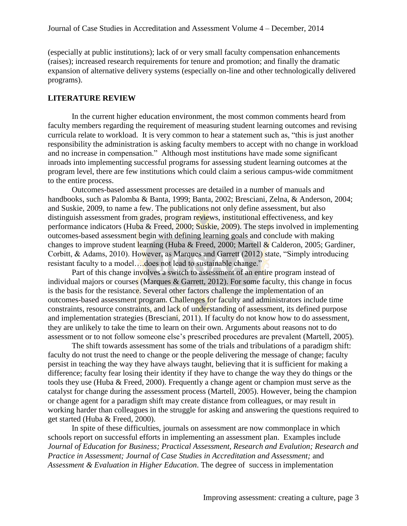(especially at public institutions); lack of or very small faculty compensation enhancements (raises); increased research requirements for tenure and promotion; and finally the dramatic expansion of alternative delivery systems (especially on-line and other technologically delivered programs).

## **LITERATURE REVIEW**

In the current higher education environment, the most common comments heard from faculty members regarding the requirement of measuring student learning outcomes and revising curricula relate to workload. It is very common to hear a statement such as, "this is just another responsibility the administration is asking faculty members to accept with no change in workload and no increase in compensation." Although most institutions have made some significant inroads into implementing successful programs for assessing student learning outcomes at the program level, there are few institutions which could claim a serious campus-wide commitment to the entire process.

Outcomes-based assessment processes are detailed in a number of manuals and handbooks, such as Palomba & Banta, 1999; Banta, 2002; Bresciani, Zelna, & Anderson, 2004; and Suskie, 2009, to name a few. The publications not only define assessment, but also distinguish assessment from grades, program reviews, institutional effectiveness, and key performance indicators (Huba & Freed, 2000; Suskie, 2009). The steps involved in implementing outcomes-based assessment begin with defining learning goals and conclude with making changes to improve student learning (Huba & Freed, 2000; Martell & Calderon, 2005; Gardiner, Corbitt, & Adams, 2010). However, as Marques and Garrett (2012) state, "Simply introducing resistant faculty to a model….does not lead to sustainable change."

Part of this change involves a switch to assessment of an entire program instead of individual majors or courses (Marques & Garrett, 2012). For some faculty, this change in focus is the basis for the resistance. Several other factors challenge the implementation of an outcomes-based assessment program. Challenges for faculty and administrators include time constraints, resource constraints, and lack of understanding of assessment, its defined purpose and implementation strategies (Bresciani, 2011). If faculty do not know how to do assessment, they are unlikely to take the time to learn on their own. Arguments about reasons not to do assessment or to not follow someone else's prescribed procedures are prevalent (Martell, 2005).

The shift towards assessment has some of the trials and tribulations of a paradigm shift: faculty do not trust the need to change or the people delivering the message of change; faculty persist in teaching the way they have always taught, believing that it is sufficient for making a difference; faculty fear losing their identity if they have to change the way they do things or the tools they use (Huba & Freed, 2000). Frequently a change agent or champion must serve as the catalyst for change during the assessment process (Martell, 2005). However, being the champion or change agent for a paradigm shift may create distance from colleagues, or may result in working harder than colleagues in the struggle for asking and answering the questions required to get started (Huba & Freed, 2000).

In spite of these difficulties, journals on assessment are now commonplace in which schools report on successful efforts in implementing an assessment plan. Examples include *Journal of Education for Business; Practical Assessment, Research and Evalution; Research and Practice in Assessment; Journal of Case Studies in Accreditation and Assessment;* and *Assessment & Evaluation in Higher Education*. The degree of success in implementation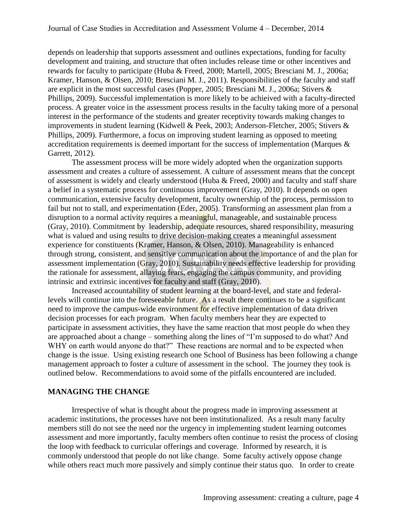depends on leadership that supports assessment and outlines expectations, funding for faculty development and training, and structure that often includes release time or other incentives and rewards for faculty to participate (Huba & Freed, 2000; Martell, 2005; Bresciani M. J., 2006a; Kramer, Hanson, & Olsen, 2010; Bresciani M. J., 2011). Responsibilities of the faculty and staff are explicit in the most successful cases (Popper, 2005; Bresciani M. J., 2006a; Stivers & Phillips, 2009). Successful implementation is more likely to be achieived with a faculty-directed process. A greater voice in the assessment process results in the faculty taking more of a personal interest in the performance of the students and greater receptivity towards making changes to improvements in student learning (Kidwell & Peek, 2003; Anderson-Fletcher, 2005; Stivers & Phillips, 2009). Furthermore, a focus on improving student learning as opposed to meeting accreditation requirements is deemed important for the success of implementation (Marques & Garrett, 2012).

The assessment process will be more widely adopted when the organization supports assessment and creates a culture of assessement. A culture of assessment means that the concept of assessment is widely and clearly understood (Huba & Freed, 2000) and faculty and staff share a belief in a systematic process for continuous improvement (Gray, 2010). It depends on open communication, extensive faculty development, faculty ownership of the process, permission to fail but not to stall, and experimentation (Eder, 2005). Transforming an assessment plan from a disruption to a normal activity requires a meaningful, manageable, and sustainable process (Gray, 2010). Commitment by leadership, adequate resources, shared responsibility, measuring what is valued and using results to drive decision-making creates a meaningful assessment experience for constituents (Kramer, Hanson, & Olsen, 2010). Manageability is enhanced through strong, consistent, and sensitive communication about the importance of and the plan for assessment implementation (Gray, 2010). Sustainability needs effective leadership for providing the rationale for assessment, allaying fears, engaging the campus community, and providing intrinsic and extrinsic incentives for faculty and staff (Gray, 2010).

Increased accountability of student learning at the board-level, and state and federallevels will continue into the foreseeable future. As a result there continues to be a significant need to improve the campus-wide environment for effective implementation of data driven decision processes for each program. When faculty members hear they are expected to participate in assessment activities, they have the same reaction that most people do when they are approached about a change – something along the lines of "I'm supposed to do what? And WHY on earth would anyone do that?" These reactions are normal and to be expected when change is the issue. Using existing research one School of Business has been following a change management approach to foster a culture of assessment in the school. The journey they took is outlined below. Recommendations to avoid some of the pitfalls encountered are included.

## **MANAGING THE CHANGE**

Irrespective of what is thought about the progress made in improving assessment at academic institutions, the processes have not been institutionalized. As a result many faculty members still do not see the need nor the urgency in implementing student learning outcomes assessment and more importantly, faculty members often continue to resist the process of closing the loop with feedback to curricular offerings and coverage. Informed by research, it is commonly understood that people do not like change. Some faculty actively oppose change while others react much more passively and simply continue their status quo. In order to create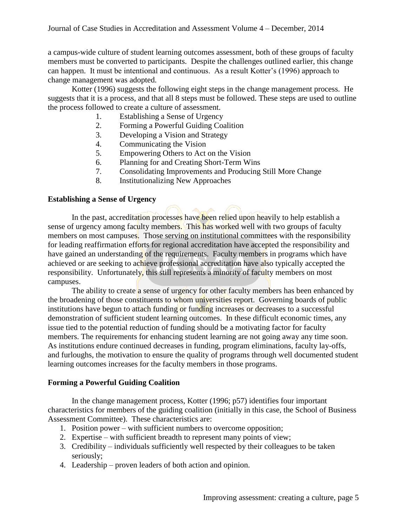a campus-wide culture of student learning outcomes assessment, both of these groups of faculty members must be converted to participants. Despite the challenges outlined earlier, this change can happen. It must be intentional and continuous. As a result Kotter's (1996) approach to change management was adopted.

Kotter (1996) suggests the following eight steps in the change management process. He suggests that it is a process, and that all 8 steps must be followed. These steps are used to outline the process followed to create a culture of assessment.

- 1. Establishing a Sense of Urgency
- 2. Forming a Powerful Guiding Coalition
- 3. Developing a Vision and Strategy
- 4. Communicating the Vision
- 5. Empowering Others to Act on the Vision
- 6. Planning for and Creating Short-Term Wins
- 7. Consolidating Improvements and Producing Still More Change
- 8. Institutionalizing New Approaches

#### **Establishing a Sense of Urgency**

In the past, accreditation processes have been relied upon heavily to help establish a sense of urgency among faculty members. This has worked well with two groups of faculty members on most campuses. Those serving on institutional committees with the responsibility for leading reaffirmation efforts for regional accreditation have accepted the responsibility and have gained an understanding of the requirements. Faculty members in programs which have achieved or are seeking to achieve professional accreditation have also typically accepted the responsibility. Unfortunately, this still represents a minority of faculty members on most campuses.

The ability to create a sense of urgency for other faculty members has been enhanced by the broadening of those constituents to whom universities report. Governing boards of public institutions have begun to attach funding or funding increases or decreases to a successful demonstration of sufficient student learning outcomes. In these difficult economic times, any issue tied to the potential reduction of funding should be a motivating factor for faculty members. The requirements for enhancing student learning are not going away any time soon. As institutions endure continued decreases in funding, program eliminations, faculty lay-offs, and furloughs, the motivation to ensure the quality of programs through well documented student learning outcomes increases for the faculty members in those programs.

#### **Forming a Powerful Guiding Coalition**

In the change management process, Kotter (1996; p57) identifies four important characteristics for members of the guiding coalition (initially in this case, the School of Business Assessment Committee). These characteristics are:

- 1. Position power with sufficient numbers to overcome opposition;
- 2. Expertise with sufficient breadth to represent many points of view;
- 3. Credibility individuals sufficiently well respected by their colleagues to be taken seriously;
- 4. Leadership proven leaders of both action and opinion.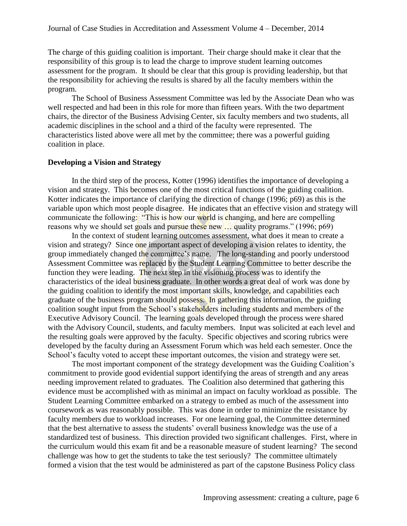The charge of this guiding coalition is important. Their charge should make it clear that the responsibility of this group is to lead the charge to improve student learning outcomes assessment for the program. It should be clear that this group is providing leadership, but that the responsibility for achieving the results is shared by all the faculty members within the program.

The School of Business Assessment Committee was led by the Associate Dean who was well respected and had been in this role for more than fifteen years. With the two department chairs, the director of the Business Advising Center, six faculty members and two students, all academic disciplines in the school and a third of the faculty were represented. The characteristics listed above were all met by the committee; there was a powerful guiding coalition in place.

#### **Developing a Vision and Strategy**

In the third step of the process, Kotter (1996) identifies the importance of developing a vision and strategy. This becomes one of the most critical functions of the guiding coalition. Kotter indicates the importance of clarifying the direction of change (1996; p69) as this is the variable upon which most people disagree. He indicates that an effective vision and strategy will communicate the following: "This is how our world is changing, and here are compelling reasons why we should set goals and pursue these new … quality programs." (1996; p69)

In the context of student learning outcomes assessment, what does it mean to create a vision and strategy? Since one important aspect of developing a vision relates to identity, the group immediately changed the committee's name. The long-standing and poorly understood Assessment Committee was replaced by the Student Learning Committee to better describe the function they were leading. The next step in the visioning process was to identify the characteristics of the ideal business graduate. In other words a great deal of work was done by the guiding coalition to identify the most important skills, knowledge, and capabilities each graduate of the business program should possess. In gathering this information, the guiding coalition sought input from the School's stakeholders including students and members of the Executive Advisory Council. The learning goals developed through the process were shared with the Advisory Council, students, and faculty members. Input was solicited at each level and the resulting goals were approved by the faculty. Specific objectives and scoring rubrics were developed by the faculty during an Assessment Forum which was held each semester. Once the School's faculty voted to accept these important outcomes, the vision and strategy were set.

The most important component of the strategy development was the Guiding Coalition's commitment to provide good evidential support identifying the areas of strength and any areas needing improvement related to graduates. The Coalition also determined that gathering this evidence must be accomplished with as minimal an impact on faculty workload as possible. The Student Learning Committee embarked on a strategy to embed as much of the assessment into coursework as was reasonably possible. This was done in order to minimize the resistance by faculty members due to workload increases. For one learning goal, the Committee determined that the best alternative to assess the students' overall business knowledge was the use of a standardized test of business. This direction provided two significant challenges. First, where in the curriculum would this exam fit and be a reasonable measure of student learning? The second challenge was how to get the students to take the test seriously? The committee ultimately formed a vision that the test would be administered as part of the capstone Business Policy class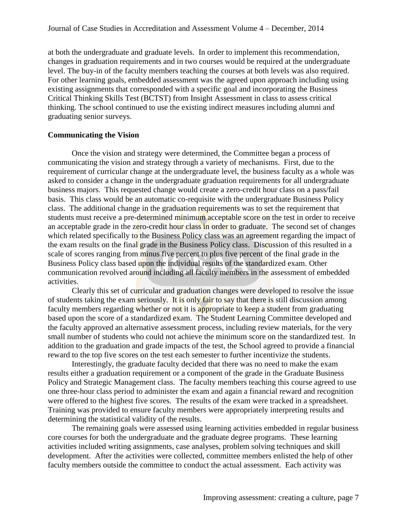at both the undergraduate and graduate levels. In order to implement this recommendation, changes in graduation requirements and in two courses would be required at the undergraduate level. The buy-in of the faculty members teaching the courses at both levels was also required. For other learning goals, embedded assessment was the agreed upon approach including using existing assignments that corresponded with a specific goal and incorporating the Business Critical Thinking Skills Test (BCTST) from Insight Assessment in class to assess critical thinking. The school continued to use the existing indirect measures including alumni and graduating senior surveys.

#### **Communicating the Vision**

Once the vision and strategy were determined, the Committee began a process of communicating the vision and strategy through a variety of mechanisms. First, due to the requirement of curricular change at the undergraduate level, the business faculty as a whole was asked to consider a change in the undergraduate graduation requirements for all undergraduate business majors. This requested change would create a zero-credit hour class on a pass/fail basis. This class would be an automatic co-requisite with the undergraduate Business Policy class. The additional change in the graduation requirements was to set the requirement that students must receive a pre-determined minimum acceptable score on the test in order to receive an acceptable grade in the zero-credit hour class in order to graduate. The second set of changes which related specifically to the Business Policy class was an agreement regarding the impact of the exam results on the final grade in the Business Policy class. Discussion of this resulted in a scale of scores ranging from minus five percent to plus five percent of the final grade in the Business Policy class based upon the individual results of the standardized exam. Other communication revolved around including all faculty members in the assessment of embedded activities.

Clearly this set of curricular and graduation changes were developed to resolve the issue of students taking the exam seriously. It is only fair to say that there is still discussion among faculty members regarding whether or not it is appropriate to keep a student from graduating based upon the score of a standardized exam. The Student Learning Committee developed and the faculty approved an alternative assessment process, including review materials, for the very small number of students who could not achieve the minimum score on the standardized test. In addition to the graduation and grade impacts of the test, the School agreed to provide a financial reward to the top five scores on the test each semester to further incentivize the students.

Interestingly, the graduate faculty decided that there was no need to make the exam results either a graduation requirement or a component of the grade in the Graduate Business Policy and Strategic Management class. The faculty members teaching this course agreed to use one three-hour class period to administer the exam and again a financial reward and recognition were offered to the highest five scores. The results of the exam were tracked in a spreadsheet. Training was provided to ensure faculty members were appropriately interpreting results and determining the statistical validity of the results.

The remaining goals were assessed using learning activities embedded in regular business core courses for both the undergraduate and the graduate degree programs. These learning activities included writing assignments, case analyses, problem solving techniques and skill development. After the activities were collected, committee members enlisted the help of other faculty members outside the committee to conduct the actual assessment. Each activity was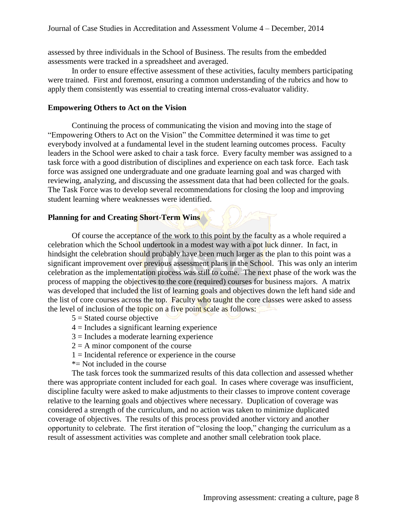assessed by three individuals in the School of Business. The results from the embedded assessments were tracked in a spreadsheet and averaged.

In order to ensure effective assessment of these activities, faculty members participating were trained. First and foremost, ensuring a common understanding of the rubrics and how to apply them consistently was essential to creating internal cross-evaluator validity.

## **Empowering Others to Act on the Vision**

Continuing the process of communicating the vision and moving into the stage of "Empowering Others to Act on the Vision" the Committee determined it was time to get everybody involved at a fundamental level in the student learning outcomes process. Faculty leaders in the School were asked to chair a task force. Every faculty member was assigned to a task force with a good distribution of disciplines and experience on each task force. Each task force was assigned one undergraduate and one graduate learning goal and was charged with reviewing, analyzing, and discussing the assessment data that had been collected for the goals. The Task Force was to develop several recommendations for closing the loop and improving student learning where weaknesses were identified.

## **Planning for and Creating Short-Term Wins**

Of course the acceptance of the work to this point by the faculty as a whole required a celebration which the School undertook in a modest way with a pot luck dinner. In fact, in hindsight the celebration should probably have been much larger as the plan to this point was a significant improvement over previous assessment plans in the School. This was only an interim celebration as the implementation process was still to come. The next phase of the work was the process of mapping the objectives to the core (required) courses for business majors. A matrix was developed that included the list of learning goals and objectives down the left hand side and the list of core courses across the top. Faculty who taught the core classes were asked to assess the level of inclusion of the topic on a five point scale as follows:

- $5 =$ Stated course objective
- $4 =$  Includes a significant learning experience
- $3$  = Includes a moderate learning experience
- $2 = A$  minor component of the course
- $1 =$ Incidental reference or experience in the course
- \*= Not included in the course

The task forces took the summarized results of this data collection and assessed whether there was appropriate content included for each goal. In cases where coverage was insufficient, discipline faculty were asked to make adjustments to their classes to improve content coverage relative to the learning goals and objectives where necessary. Duplication of coverage was considered a strength of the curriculum, and no action was taken to minimize duplicated coverage of objectives. The results of this process provided another victory and another opportunity to celebrate. The first iteration of "closing the loop," changing the curriculum as a result of assessment activities was complete and another small celebration took place.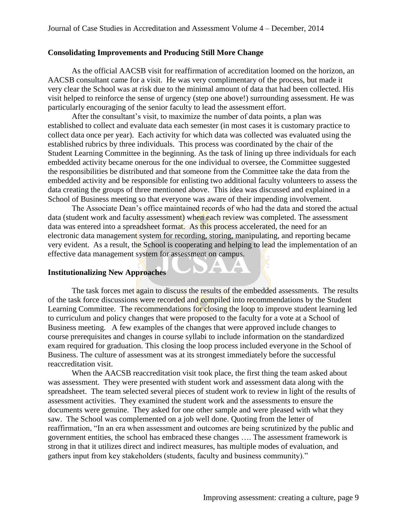## **Consolidating Improvements and Producing Still More Change**

As the official AACSB visit for reaffirmation of accreditation loomed on the horizon, an AACSB consultant came for a visit. He was very complimentary of the process, but made it very clear the School was at risk due to the minimal amount of data that had been collected. His visit helped to reinforce the sense of urgency (step one above!) surrounding assessment. He was particularly encouraging of the senior faculty to lead the assessment effort.

After the consultant's visit, to maximize the number of data points, a plan was established to collect and evaluate data each semester (in most cases it is customary practice to collect data once per year). Each activity for which data was collected was evaluated using the established rubrics by three individuals. This process was coordinated by the chair of the Student Learning Committee in the beginning. As the task of lining up three individuals for each embedded activity became onerous for the one individual to oversee, the Committee suggested the responsibilities be distributed and that someone from the Committee take the data from the embedded activity and be responsible for enlisting two additional faculty volunteers to assess the data creating the groups of three mentioned above. This idea was discussed and explained in a School of Business meeting so that everyone was aware of their impending involvement.

The Associate Dean's office maintained records of who had the data and stored the actual data (student work and faculty assessment) when each review was completed. The assessment data was entered into a spreadsheet format. As this process accelerated, the need for an electronic data management system for recording, storing, manipulating, and reporting became very evident. As a result, the School is cooperating and helping to lead the implementation of an effective data management system for assessment on campus.

 $\blacksquare$ 

A A

## **Institutionalizing New Approaches**

The task forces met again to discuss the results of the embedded assessments. The results of the task force discussions were recorded and compiled into recommendations by the Student Learning Committee. The recommendations for closing the loop to improve student learning led to curriculum and policy changes that were proposed to the faculty for a vote at a School of Business meeting. A few examples of the changes that were approved include changes to course prerequisites and changes in course syllabi to include information on the standardized exam required for graduation. This closing the loop process included everyone in the School of Business. The culture of assessment was at its strongest immediately before the successful reaccreditation visit.

When the AACSB reaccreditation visit took place, the first thing the team asked about was assessment. They were presented with student work and assessment data along with the spreadsheet. The team selected several pieces of student work to review in light of the results of assessment activities. They examined the student work and the assessments to ensure the documents were genuine. They asked for one other sample and were pleased with what they saw. The School was complemented on a job well done. Quoting from the letter of reaffirmation, "In an era when assessment and outcomes are being scrutinized by the public and government entities, the school has embraced these changes …. The assessment framework is strong in that it utilizes direct and indirect measures, has multiple modes of evaluation, and gathers input from key stakeholders (students, faculty and business community)."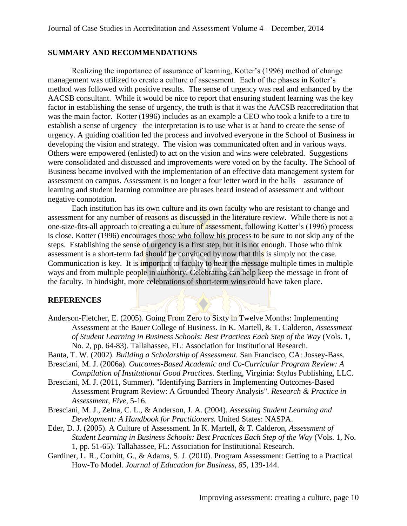#### **SUMMARY AND RECOMMENDATIONS**

Realizing the importance of assurance of learning, Kotter's (1996) method of change management was utilized to create a culture of assessment. Each of the phases in Kotter's method was followed with positive results. The sense of urgency was real and enhanced by the AACSB consultant. While it would be nice to report that ensuring student learning was the key factor in establishing the sense of urgency, the truth is that it was the AACSB reaccreditation that was the main factor. Kotter (1996) includes as an example a CEO who took a knife to a tire to establish a sense of urgency –the interpretation is to use what is at hand to create the sense of urgency. A guiding coalition led the process and involved everyone in the School of Business in developing the vision and strategy. The vision was communicated often and in various ways. Others were empowered (enlisted) to act on the vision and wins were celebrated. Suggestions were consolidated and discussed and improvements were voted on by the faculty. The School of Business became involved with the implementation of an effective data management system for assessment on campus. Assessment is no longer a four letter word in the halls – assurance of learning and student learning committee are phrases heard instead of assessment and without negative connotation.

Each institution has its own culture and its own faculty who are resistant to change and assessment for any number of reasons as discussed in the literature review. While there is not a one-size-fits-all approach to creating a culture of assessment, following Kotter's (1996) process is close. Kotter (1996) encourages those who follow his process to be sure to not skip any of the steps. Establishing the sense of urgency is a first step, but it is not enough. Those who think assessment is a short-term fad should be convinced by now that this is simply not the case. Communication is key. It is important to faculty to hear the message multiple times in multiple ways and from multiple people in authority. Celebrating can help keep the message in front of the faculty. In hindsight, more celebrations of short-term wins could have taken place.

#### **REFERENCES**

- Anderson-Fletcher, E. (2005). Going From Zero to Sixty in Twelve Months: Implementing Assessment at the Bauer College of Business. In K. Martell, & T. Calderon, *Assessment of Student Learning in Business Schools: Best Practices Each Step of the Way* (Vols. 1, No. 2, pp. 64-83). Tallahassee, FL: Association for Institutional Research.
- Banta, T. W. (2002). *Building a Scholarship of Assessment.* San Francisco, CA: Jossey-Bass. Bresciani, M. J. (2006a). *Outcomes-Based Academic and Co-Curricular Program Review: A*
- *Compilation of Institutional Good Practices.* Sterling, Virginia: Stylus Publishing, LLC.
- Bresciani, M. J. (2011, Summer). "Identifying Barriers in Implementing Outcomes-Based Assessment Program Review: A Grounded Theory Analysis". *Research & Practice in Assessment, Five*, 5-16.
- Bresciani, M. J., Zelna, C. L., & Anderson, J. A. (2004). *Assessing Student Learning and Development: A Handbook for Practitioners.* United States: NASPA.
- Eder, D. J. (2005). A Culture of Assessment. In K. Martell, & T. Calderon, *Assessment of Student Learning in Business Schools: Best Practices Each Step of the Way* (Vols. 1, No. 1, pp. 51-65). Tallahassee, FL: Association for Institutional Research.
- Gardiner, L. R., Corbitt, G., & Adams, S. J. (2010). Program Assessment: Getting to a Practical How-To Model. *Journal of Education for Business, 85*, 139-144.